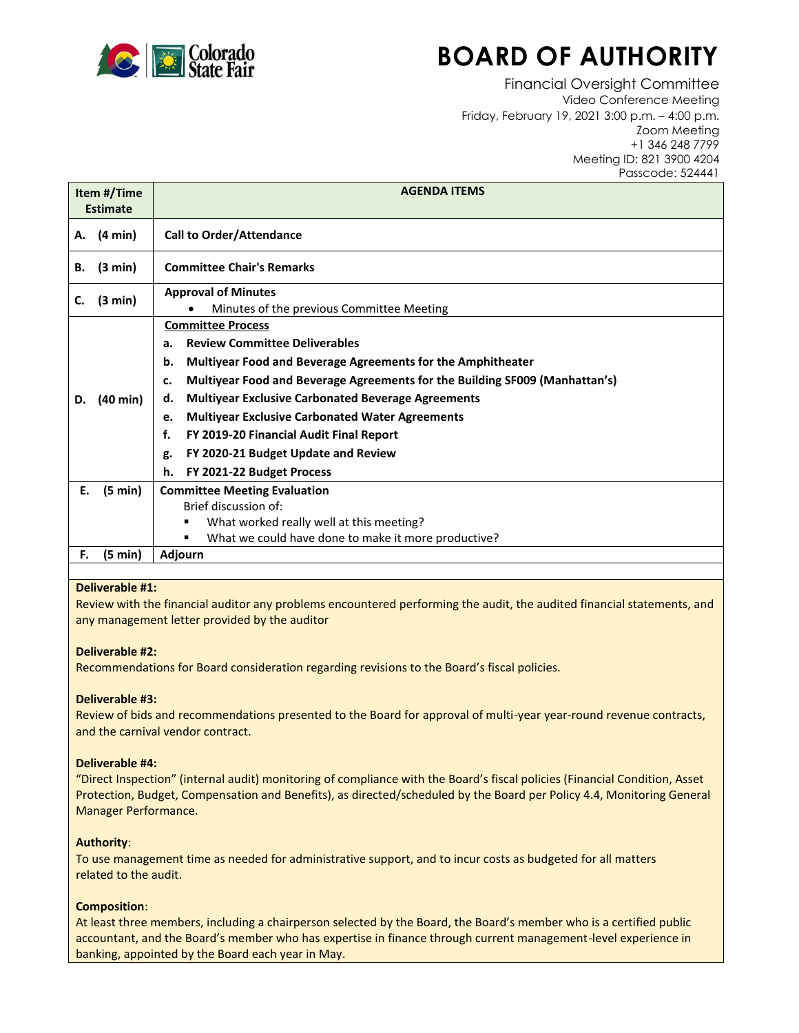

# **BOARD OF AUTHORITY**

Financial Oversight Committee Video Conference Meeting Friday, February 19, 2021 3:00 p.m. – 4:00 p.m. Zoom Meeting +1 346 248 7799 Meeting ID: 821 3900 4204 Passcode: 524441

| Item #/Time<br><b>Estimate</b> |                    | <b>AGENDA ITEMS</b>                                                                                                                                                                                                                                                                                                                                                                                                                                                                                         |
|--------------------------------|--------------------|-------------------------------------------------------------------------------------------------------------------------------------------------------------------------------------------------------------------------------------------------------------------------------------------------------------------------------------------------------------------------------------------------------------------------------------------------------------------------------------------------------------|
| А.                             | $(4 \text{ min})$  | <b>Call to Order/Attendance</b>                                                                                                                                                                                                                                                                                                                                                                                                                                                                             |
| В.                             | (3 min)            | <b>Committee Chair's Remarks</b>                                                                                                                                                                                                                                                                                                                                                                                                                                                                            |
| C.                             | (3 min)            | <b>Approval of Minutes</b><br>Minutes of the previous Committee Meeting                                                                                                                                                                                                                                                                                                                                                                                                                                     |
| D.                             | $(40 \text{ min})$ | <b>Committee Process</b><br><b>Review Committee Deliverables</b><br>а.<br><b>Multiyear Food and Beverage Agreements for the Amphitheater</b><br>b.<br>Multiyear Food and Beverage Agreements for the Building SF009 (Manhattan's)<br>c.<br><b>Multiyear Exclusive Carbonated Beverage Agreements</b><br>d.<br><b>Multiyear Exclusive Carbonated Water Agreements</b><br>e.<br>f.<br>FY 2019-20 Financial Audit Final Report<br>FY 2020-21 Budget Update and Review<br>g.<br>FY 2021-22 Budget Process<br>h. |
| Ε.                             | (5 min)            | <b>Committee Meeting Evaluation</b><br>Brief discussion of:                                                                                                                                                                                                                                                                                                                                                                                                                                                 |
|                                |                    | What worked really well at this meeting?<br>٠<br>What we could have done to make it more productive?<br>٠                                                                                                                                                                                                                                                                                                                                                                                                   |
| F.                             | $(5 \text{ min})$  | <b>Adjourn</b>                                                                                                                                                                                                                                                                                                                                                                                                                                                                                              |

## **Deliverable #1:**

Review with the financial auditor any problems encountered performing the audit, the audited financial statements, and any management letter provided by the auditor

## **Deliverable #2:**

Recommendations for Board consideration regarding revisions to the Board's fiscal policies.

#### **Deliverable #3:**

Review of bids and recommendations presented to the Board for approval of multi-year year-round revenue contracts, and the carnival vendor contract.

#### **Deliverable #4:**

"Direct Inspection" (internal audit) monitoring of compliance with the Board's fiscal policies (Financial Condition, Asset Protection, Budget, Compensation and Benefits), as directed/scheduled by the Board per Policy 4.4, Monitoring General Manager Performance.

#### **Authority**:

To use management time as needed for administrative support, and to incur costs as budgeted for all matters related to the audit.

#### **Composition**:

At least three members, including a chairperson selected by the Board, the Board's member who is a certified public accountant, and the Board's member who has expertise in finance through current management-level experience in banking, appointed by the Board each year in May.